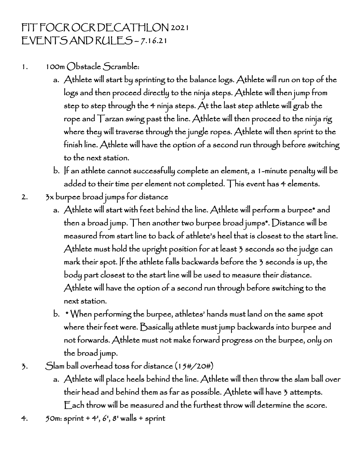## FIT FOCR OCR DECATHLON 2021 EVENTS AND RULES – 7.16.21

- 1. 100m Obstacle Scramble:
	- a. Athlete will start by sprinting to the balance logs. Athlete will run on top of the logs and then proceed directly to the ninja steps. Athlete will then jump from step to step through the 4 ninja steps. At the last step athlete will grab the rope and Tarzan swing past the line. Athlete will then proceed to the ninja rig where they will traverse through the jungle ropes. Athlete will then sprint to the finish line. Athlete will have the option of a second run through before switching to the next station.
	- b. If an athlete cannot successfully complete an element, a 1-minute penalty will be added to their time per element not completed. This event has 4 elements.
- 2. 3x burpee broad jumps for distance
	- a. Athlete will start with feet behind the line. Athlete will perform a burpee\* and then a broad jump. Then another two burpee broad jumps\*. Distance will be measured from start line to back of athlete's heel that is closest to the start line. Athlete must hold the upright position for at least 3 seconds so the judge can mark their spot. If the athlete falls backwards before the 3 seconds is up, the body part closest to the start line will be used to measure their distance. Athlete will have the option of a second run through before switching to the next station.
	- b. \* When performing the burpee, athletes' hands must land on the same spot where their feet were. Basically athlete must jump backwards into burpee and not forwards. Athlete must not make forward progress on the burpee, only on the broad jump.
- 3. Slam ball overhead toss for distance (15#/20#)
	- a. Athlete will place heels behind the line. Athlete will then throw the slam ball over their head and behind them as far as possible. Athlete will have 3 attempts. Each throw will be measured and the furthest throw will determine the score.
- 4.  $50m:$  sprint + 4<sup>1</sup>, 6<sup>1</sup>, 8<sup>1</sup> walls + sprint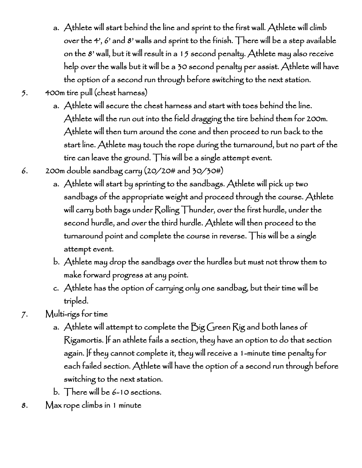- a. Athlete will start behind the line and sprint to the first wall. Athlete will climb over the 4', 6' and 8' walls and sprint to the finish. There will be a step available on the 8' wall, but it will result in a 15 second penalty. Athlete may also receive help over the walls but it will be a 30 second penalty per assist. Athlete will have the option of a second run through before switching to the next station.
- 5. 400m tire pull (chest harness)
	- a. Athlete will secure the chest harness and start with toes behind the line. Athlete will the run out into the field dragging the tire behind them for 200m. Athlete will then turn around the cone and then proceed to run back to the start line. Athlete may touch the rope during the turnaround, but no part of the tire can leave the ground. This will be a single attempt event.
- 6. 200m double sandbag carry (20/20# and 30/30#)
	- a. Athlete will start by sprinting to the sandbags. Athlete will pick up two sandbags of the appropriate weight and proceed through the course. Athlete will carry both bags under Rolling Thunder, over the first hurdle, under the second hurdle, and over the third hurdle. Athlete will then proceed to the turnaround point and complete the course in reverse. This will be a single attempt event.
	- b. Athlete may drop the sandbags over the hurdles but must not throw them to make forward progress at any point.
	- c. Athlete has the option of carrying only one sandbag, but their time will be tripled.
- 7. Multi-rigs for time
	- a. Athlete will attempt to complete the Big Green Rig and both lanes of Rigamortis. If an athlete fails a section, they have an option to do that section again. If they cannot complete it, they will receive a 1-minute time penalty for each failed section. Athlete will have the option of a second run through before switching to the next station.
	- b. There will be 6-10 sections.
- 8. Max rope climbs in 1 minute